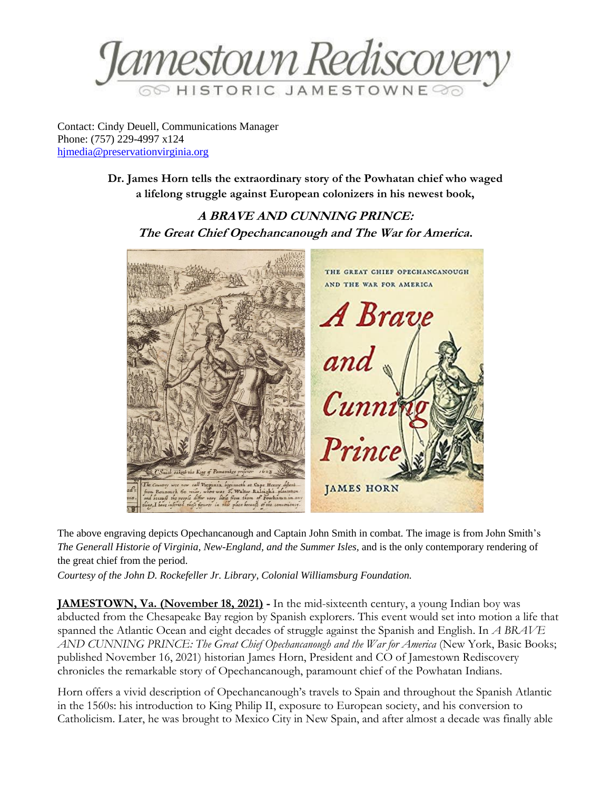

Contact: Cindy Deuell, Communications Manager Phone: (757) 229-4997 x124 [hjmedia@preservationvirginia.org](mailto:hjmedia@preservationvirginia.org)

> **Dr. James Horn tells the extraordinary story of the Powhatan chief who waged a lifelong struggle against European colonizers in his newest book,**

**A BRAVE AND CUNNING PRINCE: The Great Chief Opechancanough and The War for America.**



The above engraving depicts Opechancanough and Captain John Smith in combat. The image is from John Smith's *The Generall Historie of Virginia, New-England, and the Summer Isles,* and is the only contemporary rendering of the great chief from the period.

*Courtesy of the John D. Rockefeller Jr. Library, Colonial Williamsburg Foundation.*

**JAMESTOWN, Va. (November 18, 2021) -** In the mid-sixteenth century, a young Indian boy was abducted from the Chesapeake Bay region by Spanish explorers. This event would set into motion a life that spanned the Atlantic Ocean and eight decades of struggle against the Spanish and English. In *A BRAVE AND CUNNING PRINCE: The Great Chief Opechancanough and the War for America* (New York, Basic Books; published November 16, 2021) historian James Horn, President and CO of Jamestown Rediscovery chronicles the remarkable story of Opechancanough, paramount chief of the Powhatan Indians.

Horn offers a vivid description of Opechancanough's travels to Spain and throughout the Spanish Atlantic in the 1560s: his introduction to King Philip II, exposure to European society, and his conversion to Catholicism. Later, he was brought to Mexico City in New Spain, and after almost a decade was finally able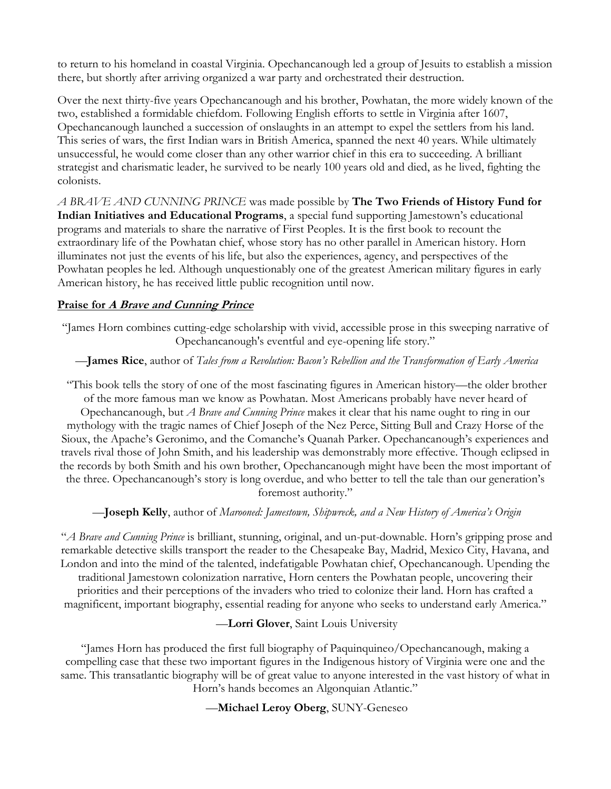to return to his homeland in coastal Virginia. Opechancanough led a group of Jesuits to establish a mission there, but shortly after arriving organized a war party and orchestrated their destruction.

Over the next thirty-five years Opechancanough and his brother, Powhatan, the more widely known of the two, established a formidable chiefdom. Following English efforts to settle in Virginia after 1607, Opechancanough launched a succession of onslaughts in an attempt to expel the settlers from his land. This series of wars, the first Indian wars in British America, spanned the next 40 years. While ultimately unsuccessful, he would come closer than any other warrior chief in this era to succeeding. A brilliant strategist and charismatic leader, he survived to be nearly 100 years old and died, as he lived, fighting the colonists.

*A BRAVE AND CUNNING PRINCE* was made possible by **The Two Friends of History Fund for Indian Initiatives and Educational Programs**, a special fund supporting Jamestown's educational programs and materials to share the narrative of First Peoples. It is the first book to recount the extraordinary life of the Powhatan chief, whose story has no other parallel in American history. Horn illuminates not just the events of his life, but also the experiences, agency, and perspectives of the Powhatan peoples he led. Although unquestionably one of the greatest American military figures in early American history, he has received little public recognition until now.

## **Praise for A Brave and Cunning Prince**

"James Horn combines cutting-edge scholarship with vivid, accessible prose in this sweeping narrative of Opechancanough's eventful and eye-opening life story."

## —**James Rice**, author of *Tales from a Revolution: Bacon's Rebellion and the Transformation of Early America*

"This book tells the story of one of the most fascinating figures in American history—the older brother of the more famous man we know as Powhatan. Most Americans probably have never heard of Opechancanough, but *A Brave and Cunning Prince* makes it clear that his name ought to ring in our mythology with the tragic names of Chief Joseph of the Nez Perce, Sitting Bull and Crazy Horse of the Sioux, the Apache's Geronimo, and the Comanche's Quanah Parker. Opechancanough's experiences and travels rival those of John Smith, and his leadership was demonstrably more effective. Though eclipsed in the records by both Smith and his own brother, Opechancanough might have been the most important of the three. Opechancanough's story is long overdue, and who better to tell the tale than our generation's foremost authority."

—**Joseph Kelly**, author of *Marooned: Jamestown, Shipwreck, and a New History of America's Origin*

"*A Brave and Cunning Prince* is brilliant, stunning, original, and un-put-downable. Horn's gripping prose and remarkable detective skills transport the reader to the Chesapeake Bay, Madrid, Mexico City, Havana, and London and into the mind of the talented, indefatigable Powhatan chief, Opechancanough. Upending the traditional Jamestown colonization narrative, Horn centers the Powhatan people, uncovering their priorities and their perceptions of the invaders who tried to colonize their land. Horn has crafted a magnificent, important biography, essential reading for anyone who seeks to understand early America."

—**Lorri Glover**, Saint Louis University

"James Horn has produced the first full biography of Paquinquineo/Opechancanough, making a compelling case that these two important figures in the Indigenous history of Virginia were one and the same. This transatlantic biography will be of great value to anyone interested in the vast history of what in Horn's hands becomes an Algonquian Atlantic."

—**Michael Leroy Oberg**, SUNY-Geneseo